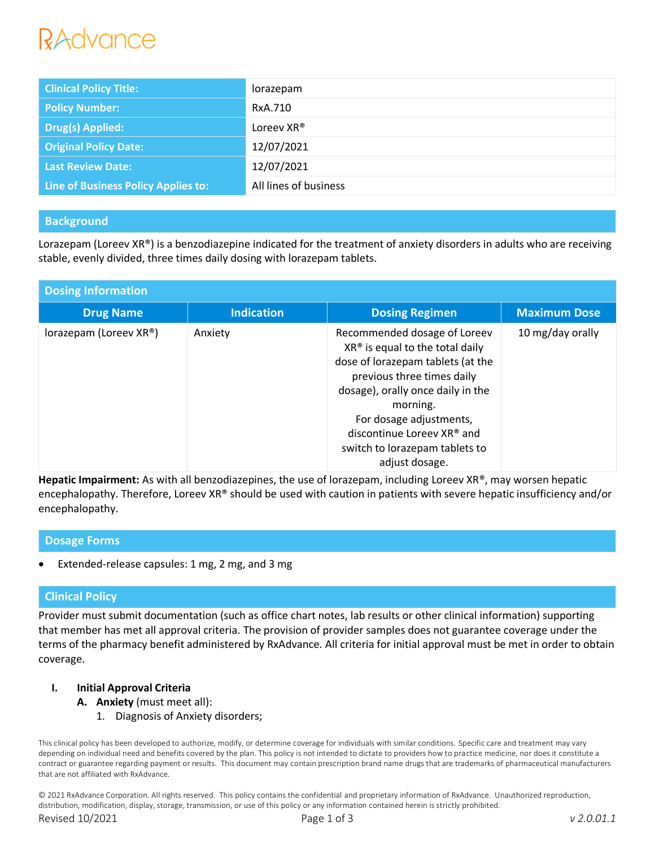# RAdvance

| <b>Clinical Policy Title:</b>       | lorazepam             |
|-------------------------------------|-----------------------|
| <b>Policy Number:</b>               | RxA.710               |
| <b>Drug(s) Applied:</b>             | Loreev XR®            |
| <b>Original Policy Date:</b>        | 12/07/2021            |
| <b>Last Review Date:</b>            | 12/07/2021            |
| Line of Business Policy Applies to: | All lines of business |

# **Background**

Lorazepam (Loreev  $XR^{\circ}$ ) is a benzodiazepine indicated for the treatment of anxiety disorders in adults who are receiving stable, evenly divided, three times daily dosing with lorazepam tablets.

| <b>Dosing Information</b> |                   |                                                                                                                                                                                                                                                                                                           |                     |  |
|---------------------------|-------------------|-----------------------------------------------------------------------------------------------------------------------------------------------------------------------------------------------------------------------------------------------------------------------------------------------------------|---------------------|--|
| <b>Drug Name</b>          | <b>Indication</b> | <b>Dosing Regimen</b>                                                                                                                                                                                                                                                                                     | <b>Maximum Dose</b> |  |
| lorazepam (Loreev XR®)    | Anxiety           | Recommended dosage of Loreev<br>$XR^{\circ}$ is equal to the total daily<br>dose of lorazepam tablets (at the<br>previous three times daily<br>dosage), orally once daily in the<br>morning.<br>For dosage adjustments,<br>discontinue Loreev XR® and<br>switch to lorazepam tablets to<br>adjust dosage. | 10 mg/day orally    |  |

**Hepatic Impairment:** As with all benzodiazepines, the use of lorazepam, including Loreev XR®, may worsen hepatic encephalopathy. Therefore, Loreev XR® should be used with caution in patients with severe hepatic insufficiency and/or encephalopathy.

### **Dosage Forms**

Extended-release capsules: 1 mg, 2 mg, and 3 mg

## **Clinical Policy**

Provider must submit documentation (such as office chart notes, lab results or other clinical information) supporting that member has met all approval criteria. The provision of provider samples does not guarantee coverage under the terms of the pharmacy benefit administered by RxAdvance. All criteria for initial approval must be met in order to obtain coverage.

### **I. Initial Approval Criteria**

- **A. Anxiety** (must meet all):
	- 1. Diagnosis of Anxiety disorders;

This clinical policy has been developed to authorize, modify, or determine coverage for individuals with similar conditions. Specific care and treatment may vary depending on individual need and benefits covered by the plan. This policy is not intended to dictate to providers how to practice medicine, nor does it constitute a contract or guarantee regarding payment or results. This document may contain prescription brand name drugs that are trademarks of pharmaceutical manufacturers that are not affiliated with RxAdvance.

© 2021 RxAdvance Corporation. All rights reserved. This policy contains the confidential and proprietary information of RxAdvance. Unauthorized reproduction, distribution, modification, display, storage, transmission, or use of this policy or any information contained herein is strictly prohibited.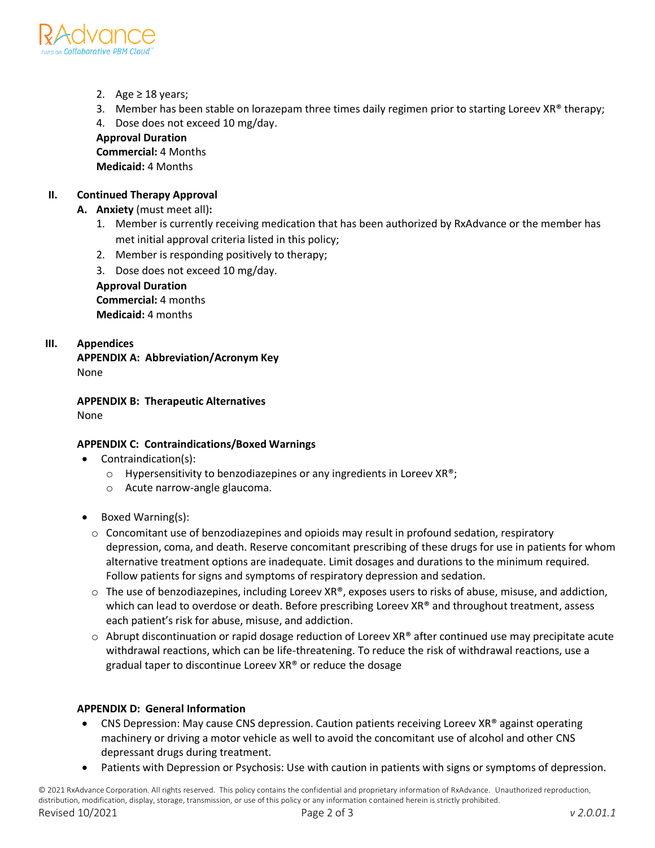

- 2. Age  $\geq$  18 years;
- 3. Member has been stable on lorazepam three times daily regimen prior to starting Loreev XR® therapy;

4. Dose does not exceed 10 mg/day.

**Approval Duration Commercial:** 4 Months **Medicaid:** 4 Months

## **II. Continued Therapy Approval**

- **A. Anxiety** (must meet all)**:**
	- 1. Member is currently receiving medication that has been authorized by RxAdvance or the member has met initial approval criteria listed in this policy;
	- 2. Member is responding positively to therapy;
	- 3. Dose does not exceed 10 mg/day.

**Approval Duration Commercial:** 4 months **Medicaid:** 4 months

## **III. Appendices**

**APPENDIX A: Abbreviation/Acronym Key** None

**APPENDIX B: Therapeutic Alternatives** None

### **APPENDIX C: Contraindications/Boxed Warnings**

- Contraindication(s):
	- o Hypersensitivity to benzodiazepines or any ingredients in Loreev XR®;
	- o Acute narrow-angle glaucoma.
- Boxed Warning(s):
	- $\circ$  Concomitant use of benzodiazepines and opioids may result in profound sedation, respiratory depression, coma, and death. Reserve concomitant prescribing of these drugs for use in patients for whom alternative treatment options are inadequate. Limit dosages and durations to the minimum required. Follow patients for signs and symptoms of respiratory depression and sedation.
	- $\circ$  The use of benzodiazepines, including Loreev XR®, exposes users to risks of abuse, misuse, and addiction, which can lead to overdose or death. Before prescribing Loreev XR® and throughout treatment, assess each patient's risk for abuse, misuse, and addiction.
	- $\circ$  Abrupt discontinuation or rapid dosage reduction of Loreev XR® after continued use may precipitate acute withdrawal reactions, which can be life-threatening. To reduce the risk of withdrawal reactions, use a gradual taper to discontinue Loreev XR® or reduce the dosage

# **APPENDIX D: General Information**

- CNS Depression: May cause CNS depression. Caution patients receiving Loreev XR<sup>®</sup> against operating machinery or driving a motor vehicle as well to avoid the concomitant use of alcohol and other CNS depressant drugs during treatment.
- Patients with Depression or Psychosis: Use with caution in patients with signs or symptoms of depression.